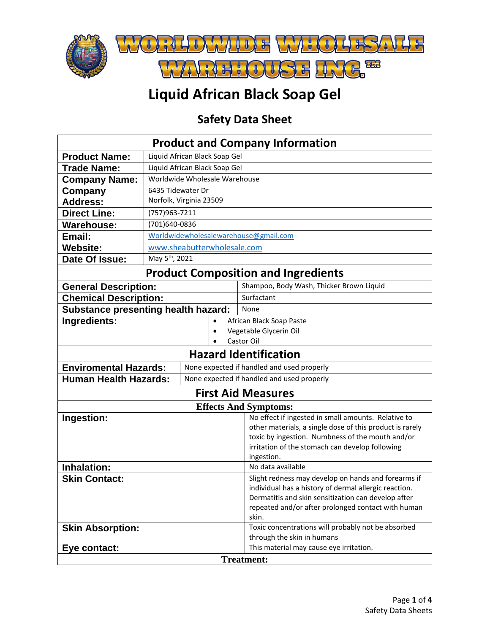

## **Liquid African Black Soap Gel**

## **Safety Data Sheet**

| <b>Product and Company Information</b>                  |                                                    |                                |  |                                                                                                              |  |  |  |
|---------------------------------------------------------|----------------------------------------------------|--------------------------------|--|--------------------------------------------------------------------------------------------------------------|--|--|--|
| <b>Product Name:</b><br>Liquid African Black Soap Gel   |                                                    |                                |  |                                                                                                              |  |  |  |
| <b>Trade Name:</b>                                      |                                                    |                                |  |                                                                                                              |  |  |  |
|                                                         | Liquid African Black Soap Gel                      |                                |  |                                                                                                              |  |  |  |
| <b>Company Name:</b>                                    | Worldwide Wholesale Warehouse<br>6435 Tidewater Dr |                                |  |                                                                                                              |  |  |  |
| Company                                                 |                                                    |                                |  |                                                                                                              |  |  |  |
| <b>Address:</b>                                         |                                                    | Norfolk, Virginia 23509        |  |                                                                                                              |  |  |  |
| <b>Direct Line:</b>                                     |                                                    | (757)963-7211<br>(701)640-0836 |  |                                                                                                              |  |  |  |
| <b>Warehouse:</b>                                       |                                                    |                                |  |                                                                                                              |  |  |  |
| Email:                                                  | Worldwidewholesalewarehouse@gmail.com              |                                |  |                                                                                                              |  |  |  |
| <b>Website:</b>                                         | www.sheabutterwholesale.com                        |                                |  |                                                                                                              |  |  |  |
| Date Of Issue:                                          | May 5 <sup>th</sup> , 2021                         |                                |  |                                                                                                              |  |  |  |
| <b>Product Composition and Ingredients</b>              |                                                    |                                |  |                                                                                                              |  |  |  |
| <b>General Description:</b>                             |                                                    |                                |  | Shampoo, Body Wash, Thicker Brown Liquid                                                                     |  |  |  |
| <b>Chemical Description:</b>                            |                                                    |                                |  | Surfactant                                                                                                   |  |  |  |
| <b>Substance presenting health hazard:</b>              |                                                    |                                |  | None                                                                                                         |  |  |  |
| Ingredients:                                            |                                                    |                                |  | African Black Soap Paste                                                                                     |  |  |  |
|                                                         |                                                    |                                |  | Vegetable Glycerin Oil                                                                                       |  |  |  |
|                                                         |                                                    |                                |  | Castor Oil                                                                                                   |  |  |  |
|                                                         |                                                    |                                |  | <b>Hazard Identification</b>                                                                                 |  |  |  |
| <b>Enviromental Hazards:</b>                            |                                                    |                                |  | None expected if handled and used properly                                                                   |  |  |  |
| <b>Human Health Hazards:</b>                            |                                                    |                                |  | None expected if handled and used properly                                                                   |  |  |  |
| <b>First Aid Measures</b>                               |                                                    |                                |  |                                                                                                              |  |  |  |
|                                                         |                                                    |                                |  | <b>Effects And Symptoms:</b>                                                                                 |  |  |  |
| Ingestion:                                              |                                                    |                                |  | No effect if ingested in small amounts. Relative to                                                          |  |  |  |
|                                                         |                                                    |                                |  | other materials, a single dose of this product is rarely                                                     |  |  |  |
|                                                         |                                                    |                                |  | toxic by ingestion. Numbness of the mouth and/or                                                             |  |  |  |
|                                                         |                                                    |                                |  | irritation of the stomach can develop following                                                              |  |  |  |
|                                                         |                                                    |                                |  | ingestion.                                                                                                   |  |  |  |
| Inhalation:                                             |                                                    |                                |  | No data available                                                                                            |  |  |  |
| <b>Skin Contact:</b>                                    |                                                    |                                |  | Slight redness may develop on hands and forearms if<br>individual has a history of dermal allergic reaction. |  |  |  |
|                                                         |                                                    |                                |  | Dermatitis and skin sensitization can develop after                                                          |  |  |  |
|                                                         |                                                    |                                |  | repeated and/or after prolonged contact with human                                                           |  |  |  |
|                                                         |                                                    |                                |  | skin.                                                                                                        |  |  |  |
| <b>Skin Absorption:</b>                                 |                                                    |                                |  | Toxic concentrations will probably not be absorbed                                                           |  |  |  |
|                                                         |                                                    |                                |  | through the skin in humans                                                                                   |  |  |  |
| This material may cause eye irritation.<br>Eye contact: |                                                    |                                |  |                                                                                                              |  |  |  |
| <b>Treatment:</b>                                       |                                                    |                                |  |                                                                                                              |  |  |  |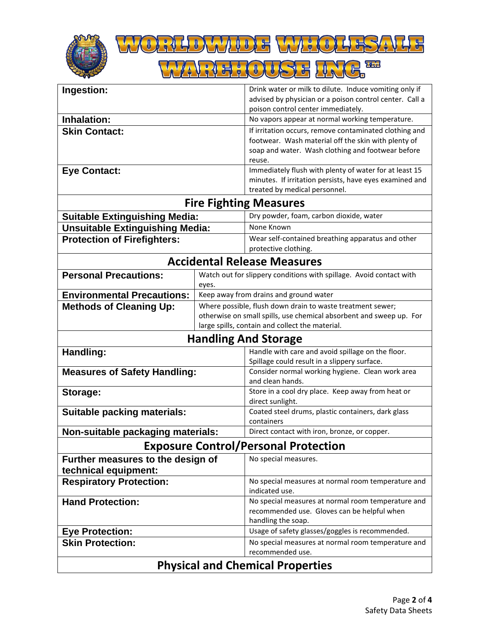



| Ingestion:                                  |                                                            | Drink water or milk to dilute. Induce vomiting only if               |  |  |  |  |
|---------------------------------------------|------------------------------------------------------------|----------------------------------------------------------------------|--|--|--|--|
|                                             |                                                            | advised by physician or a poison control center. Call a              |  |  |  |  |
|                                             |                                                            | poison control center immediately.                                   |  |  |  |  |
| Inhalation:                                 |                                                            | No vapors appear at normal working temperature.                      |  |  |  |  |
| <b>Skin Contact:</b>                        |                                                            | If irritation occurs, remove contaminated clothing and               |  |  |  |  |
|                                             |                                                            | footwear. Wash material off the skin with plenty of                  |  |  |  |  |
|                                             |                                                            | soap and water. Wash clothing and footwear before                    |  |  |  |  |
|                                             |                                                            | reuse.                                                               |  |  |  |  |
| <b>Eye Contact:</b>                         |                                                            | Immediately flush with plenty of water for at least 15               |  |  |  |  |
|                                             |                                                            | minutes. If irritation persists, have eyes examined and              |  |  |  |  |
|                                             |                                                            | treated by medical personnel.                                        |  |  |  |  |
| <b>Fire Fighting Measures</b>               |                                                            |                                                                      |  |  |  |  |
| <b>Suitable Extinguishing Media:</b>        |                                                            | Dry powder, foam, carbon dioxide, water                              |  |  |  |  |
| <b>Unsuitable Extinguishing Media:</b>      |                                                            | None Known                                                           |  |  |  |  |
| <b>Protection of Firefighters:</b>          |                                                            | Wear self-contained breathing apparatus and other                    |  |  |  |  |
|                                             |                                                            | protective clothing.                                                 |  |  |  |  |
| <b>Accidental Release Measures</b>          |                                                            |                                                                      |  |  |  |  |
| <b>Personal Precautions:</b>                |                                                            | Watch out for slippery conditions with spillage. Avoid contact with  |  |  |  |  |
|                                             | eyes.                                                      |                                                                      |  |  |  |  |
| <b>Environmental Precautions:</b>           |                                                            | Keep away from drains and ground water                               |  |  |  |  |
| <b>Methods of Cleaning Up:</b>              | Where possible, flush down drain to waste treatment sewer; |                                                                      |  |  |  |  |
|                                             |                                                            | otherwise on small spills, use chemical absorbent and sweep up. For  |  |  |  |  |
|                                             |                                                            | large spills, contain and collect the material.                      |  |  |  |  |
| <b>Handling And Storage</b>                 |                                                            |                                                                      |  |  |  |  |
| Handling:                                   |                                                            | Handle with care and avoid spillage on the floor.                    |  |  |  |  |
|                                             |                                                            | Spillage could result in a slippery surface.                         |  |  |  |  |
| <b>Measures of Safety Handling:</b>         |                                                            | Consider normal working hygiene. Clean work area<br>and clean hands. |  |  |  |  |
| Storage:                                    |                                                            | Store in a cool dry place. Keep away from heat or                    |  |  |  |  |
|                                             |                                                            | direct sunlight.                                                     |  |  |  |  |
| <b>Suitable packing materials:</b>          |                                                            | Coated steel drums, plastic containers, dark glass                   |  |  |  |  |
|                                             |                                                            | containers                                                           |  |  |  |  |
| Non-suitable packaging materials:           |                                                            | Direct contact with iron, bronze, or copper.                         |  |  |  |  |
| <b>Exposure Control/Personal Protection</b> |                                                            |                                                                      |  |  |  |  |
| Further measures to the design of           |                                                            | No special measures.                                                 |  |  |  |  |
| technical equipment:                        |                                                            |                                                                      |  |  |  |  |
| <b>Respiratory Protection:</b>              |                                                            | No special measures at normal room temperature and                   |  |  |  |  |
|                                             |                                                            | indicated use.                                                       |  |  |  |  |
| <b>Hand Protection:</b>                     |                                                            | No special measures at normal room temperature and                   |  |  |  |  |
|                                             |                                                            | recommended use. Gloves can be helpful when                          |  |  |  |  |
|                                             |                                                            | handling the soap.                                                   |  |  |  |  |
| <b>Eye Protection:</b>                      |                                                            | Usage of safety glasses/goggles is recommended.                      |  |  |  |  |
| <b>Skin Protection:</b>                     |                                                            | No special measures at normal room temperature and                   |  |  |  |  |
|                                             | recommended use.                                           |                                                                      |  |  |  |  |
| <b>Physical and Chemical Properties</b>     |                                                            |                                                                      |  |  |  |  |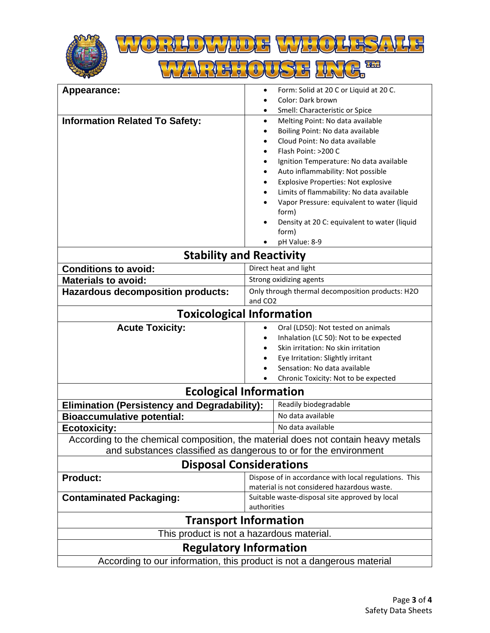



| Appearance:                                                                       | Form: Solid at 20 C or Liquid at 20 C.<br>$\bullet$   |  |  |  |  |
|-----------------------------------------------------------------------------------|-------------------------------------------------------|--|--|--|--|
|                                                                                   | Color: Dark brown                                     |  |  |  |  |
|                                                                                   | Smell: Characteristic or Spice                        |  |  |  |  |
| <b>Information Related To Safety:</b>                                             | Melting Point: No data available<br>$\bullet$         |  |  |  |  |
|                                                                                   | Boiling Point: No data available                      |  |  |  |  |
|                                                                                   | Cloud Point: No data available                        |  |  |  |  |
|                                                                                   | Flash Point: >200 C                                   |  |  |  |  |
|                                                                                   | Ignition Temperature: No data available               |  |  |  |  |
|                                                                                   | Auto inflammability: Not possible                     |  |  |  |  |
|                                                                                   | <b>Explosive Properties: Not explosive</b><br>٠       |  |  |  |  |
|                                                                                   | Limits of flammability: No data available             |  |  |  |  |
|                                                                                   | Vapor Pressure: equivalent to water (liquid           |  |  |  |  |
|                                                                                   | form)                                                 |  |  |  |  |
|                                                                                   | Density at 20 C: equivalent to water (liquid          |  |  |  |  |
|                                                                                   | form)                                                 |  |  |  |  |
|                                                                                   | pH Value: 8-9                                         |  |  |  |  |
| <b>Stability and Reactivity</b>                                                   |                                                       |  |  |  |  |
| <b>Conditions to avoid:</b>                                                       | Direct heat and light                                 |  |  |  |  |
| <b>Materials to avoid:</b>                                                        | Strong oxidizing agents                               |  |  |  |  |
| <b>Hazardous decomposition products:</b>                                          | Only through thermal decomposition products: H2O      |  |  |  |  |
|                                                                                   | and CO <sub>2</sub>                                   |  |  |  |  |
| <b>Toxicological Information</b>                                                  |                                                       |  |  |  |  |
| <b>Acute Toxicity:</b>                                                            | Oral (LD50): Not tested on animals                    |  |  |  |  |
|                                                                                   | Inhalation (LC 50): Not to be expected                |  |  |  |  |
|                                                                                   | Skin irritation: No skin irritation                   |  |  |  |  |
|                                                                                   | Eye Irritation: Slightly irritant                     |  |  |  |  |
|                                                                                   | Sensation: No data available                          |  |  |  |  |
|                                                                                   | Chronic Toxicity: Not to be expected                  |  |  |  |  |
| <b>Ecological Information</b>                                                     |                                                       |  |  |  |  |
| <b>Elimination (Persistency and Degradability):</b>                               | Readily biodegradable                                 |  |  |  |  |
| <b>Bioaccumulative potential:</b>                                                 | No data available                                     |  |  |  |  |
| <b>Ecotoxicity:</b>                                                               | No data available                                     |  |  |  |  |
| According to the chemical composition, the material does not contain heavy metals |                                                       |  |  |  |  |
| and substances classified as dangerous to or for the environment                  |                                                       |  |  |  |  |
| <b>Disposal Considerations</b>                                                    |                                                       |  |  |  |  |
| <b>Product:</b>                                                                   | Dispose of in accordance with local regulations. This |  |  |  |  |
|                                                                                   | material is not considered hazardous waste.           |  |  |  |  |
| <b>Contaminated Packaging:</b>                                                    | Suitable waste-disposal site approved by local        |  |  |  |  |
|                                                                                   | authorities                                           |  |  |  |  |
| <b>Transport Information</b>                                                      |                                                       |  |  |  |  |
| This product is not a hazardous material.                                         |                                                       |  |  |  |  |
| <b>Regulatory Information</b>                                                     |                                                       |  |  |  |  |
| According to our information, this product is not a dangerous material            |                                                       |  |  |  |  |
|                                                                                   |                                                       |  |  |  |  |